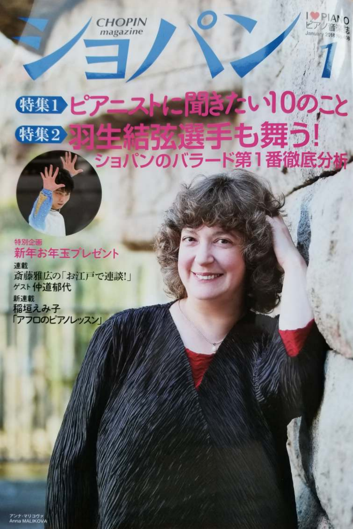**HOPIN** magazine



## (特集1とアニストに自信ない10のこと 行力人医子も舞う! 特集2 **KAND** マヨノ

#### 特別企画 新年お年玉プレゼント 連載

斎藤雅広の「お江戸で連談!」 ゲスト仲道郁代

新連載 稲垣えみ子 「アフロのピアノレッスン」

アンナ・マリコヴァ<br>Anna MALIKOVA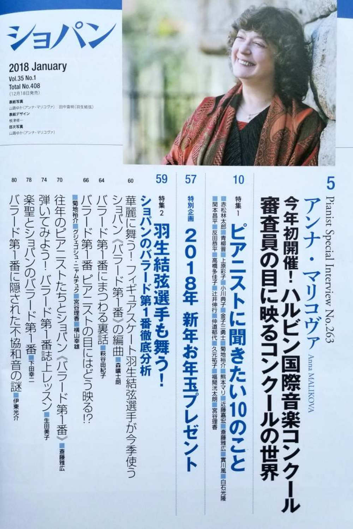### 2018 January

Vol.35 No.1 Total No.408 (12月18日発売)

80

バラード第1番に隠された不協和音の謎ままか

楽聖とショパンのバラード第1番!

弾いてみよう! バラード第1番誌上レッスン【##\*\*

往年のピアニストたちとショパン《バラード第1番

■斎藤雅広

|菊地裕介 || グジェゴシュ・ニャムチュク || 宮谷理香 || 横山幸雄

-―ド第1番 ピアニストの目にはどう映る!?

78

74

 $70$ 

66

マリコヴァ) 田中宣明(羽生結弦) 表紙デザイン 相接线 目次写真 山路ゆか (アンナ・マリコヴァ)

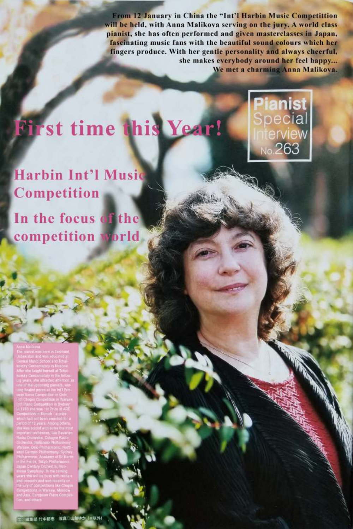From 12 January in China the "Int'l Harbin Music Competittion will be held, with Anna Malikova serving on the jury. A world class pianist, she has often performed and given masterclasses in Japan, fascinating music fans with the beautiful sound colours which her fingers produce. With her gentle personality and always cheerful, she makes everybody around her feel happy... We met a charming Anna Malikova.

<mark>ianist</mark><br>pecial

erv<mark>iew</mark><br>»263

# **First time this Year!**

**Harbin Int'l Music** Competition

In the focus of the competition world,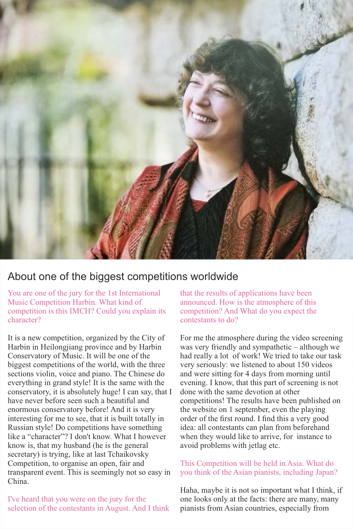

#### About one of the biggest competitions worldwide

You are one of the jury for the 1st International Music Competition Harbin. What kind of competition is this IMCH? Could you explain its character?

It is a new competition, organized by the City of Harbin in Heilongjiang province and by Harbin Conservatory of Music. It will be one of the biggest competitions of the world, with the three sections violin, voice and piano. The Chinese do everything in grand style! It is the same with the conservatory, it is absolutely huge! I can say, that I have never before seen such a beautiful and enormous conservatory before! And it is very interesting for me to see, that it is built totally in Russian style! Do competitions have something like a "character"? I don't know. What I however know is, that my husband (he is the general secretary) is trying, like at last Tchaikovsky Competition, to organise an open, fair and transparent event. This is seemingly not so easy in China.

I've heard that you were on the jury for the selection of the contestants in August. And I think that the results of applications have been announced. How is the atmosphere of this competition? And What do you expect the contestants to do?

For me the atmosphere during the video screening was very friendly and sympathetic – although we had really a lot of work! We tried to take our task very seriously: we listened to about 150 videos and were sitting for 4 days from morning until evening. I know, that this part of screening is not done with the same devotion at other competitions! The results have been published on the website on 1 september, even the playing order of the first round. I find this a very good idea: all contestants can plan from beforehand when they would like to arrive, for instance to avoid problems with jetlag etc.

#### This Competition will be held in Asia. What do you think of the Asian pianists, including Japan?

Haha, maybe it is not so important what I think, if one looks only at the facts: there are many, many pianists from Asian countries, especially from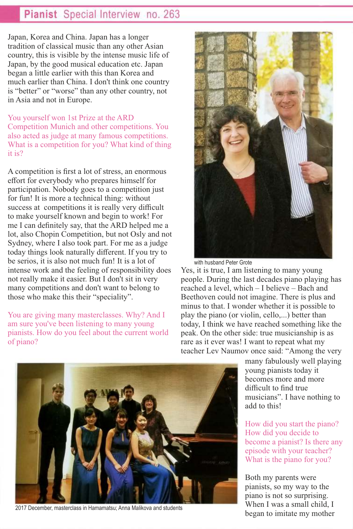#### Pianist Special Interview no. 263

Japan, Korea and China. Japan has a longer tradition of classical music than any other Asian country, this is visible by the intense music life of Japan, by the good musical education etc. Japan began a little earlier with this than Korea and much earlier than China. I don't think one country is "better" or "worse" than any other country, not in Asia and not in Europe.

You yourself won 1st Prize at the ARD Competition Munich and other competitions. You also acted as judge at many famous competitions. What is a competition for you? What kind of thing it is?

A competition is first a lot of stress, an enormous effort for everybody who prepares himself for participation. Nobody goes to a competition just for fun! It is more a technical thing: without success at competitions it is really very difficult to make yourself known and begin to work! For me I can definitely say, that the ARD helped me a lot, also Chopin Competition, but not Osly and not Sydney, where I also took part. For me as a judge today things look naturally different. If you try to be serios, it is also not much fun! It is a lot of intense work and the feeling of responsibility does not really make it easier. But I don't sit in very many competitions and don't want to belong to those who make this their "speciality".

You are giving many masterclasses. Why? And I am sure you've been listening to many young pianists. How do you feel about the current world of piano?



with husband Peter Grote

Yes, it is true, I am listening to many young people. During the last decades piano playing has reached a level, which – I believe – Bach and Beethoven could not imagine. There is plus and minus to that. I wonder whether it is possible to play the piano (or violin, cello,...) better than today, I think we have reached something like the peak. On the other side: true musicianship is as rare as it ever was! I want to repeat what my teacher Lev Naumov once said: "Among the very

> many fabulously well playing young pianists today it becomes more and more difficult to find true musicians". I have nothing to add to this!

> How did you start the piano? How did you decide to become a pianist? Is there any episode with your teacher? What is the piano for you?

Both my parents were pianists, so my way to the piano is not so surprising. When I was a small child, I began to imitate my mother



2017 December, masterclass in Hamamatsu; Anna Malikova and students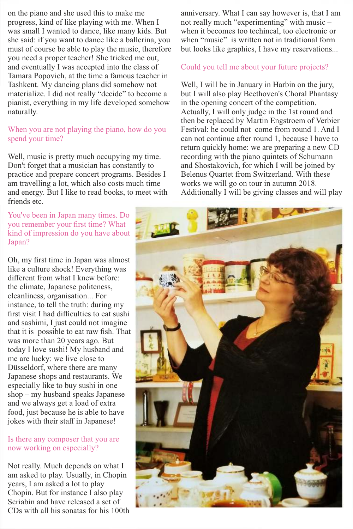on the piano and she used this to make me progress, kind of like playing with me. When I was small I wanted to dance, like many kids. But she said: if you want to dance like a ballerina, you must of course be able to play the music, therefore you need a proper teacher! She tricked me out, and eventually I was accepted into the class of Tamara Popovich, at the time a famous teacher in Tashkent. My dancing plans did somehow not materialize. I did not really "decide" to become a pianist, everything in my life developed somehow naturally.

#### When you are not playing the piano, how do you spend your time?

Well, music is pretty much occupying my time. Don't forget that a musician has constantly to practice and prepare concert programs. Besides I am travelling a lot, which also costs much time and energy. But I like to read books, to meet with friends etc.

You've been in Japan many times. Do you remember your first time? What kind of impression do you have about Japan?

Oh, my first time in Japan was almost like a culture shock! Everything was different from what I knew before: the climate, Japanese politeness, cleanliness, organisation... For instance, to tell the truth: during my first visit I had difficulties to eat sushi and sashimi, I just could not imagine that it is possible to eat raw fish. That was more than 20 years ago. But today I love sushi! My husband and me are lucky: we live close to Düsseldorf, where there are many Japanese shops and restaurants. We especially like to buy sushi in one shop – my husband speaks Japanese and we always get a load of extra food, just because he is able to have jokes with their staff in Japanese!

#### Is there any composer that you are now working on especially?

Not really. Much depends on what I am asked to play. Usually, in Chopin years, I am asked a lot to play Chopin. But for instance I also play Scriabin and have released a set of CDs with all his sonatas for his 100th anniversary. What I can say however is, that I am not really much "experimenting" with music – when it becomes too techincal, too electronic or when "music" is written not in traditional form but looks like graphics, I have my reservations...

#### Could you tell me about your future projects?

Well, I will be in January in Harbin on the jury, but I will also play Beethoven's Choral Phantasy in the opening concert of the competition. Actually, I will only judge in the 1st round and then be replaced by Martin Engstroem of Verbier Festival: he could not come from round 1. And I can not continue after round 1, because I have to return quickly home: we are preparing a new CD recording with the piano quintets of Schumann and Shostakovich, for which I will be joined by Belenus Quartet from Switzerland. With these works we will go on tour in autumn 2018. Additionally I will be giving classes and will play